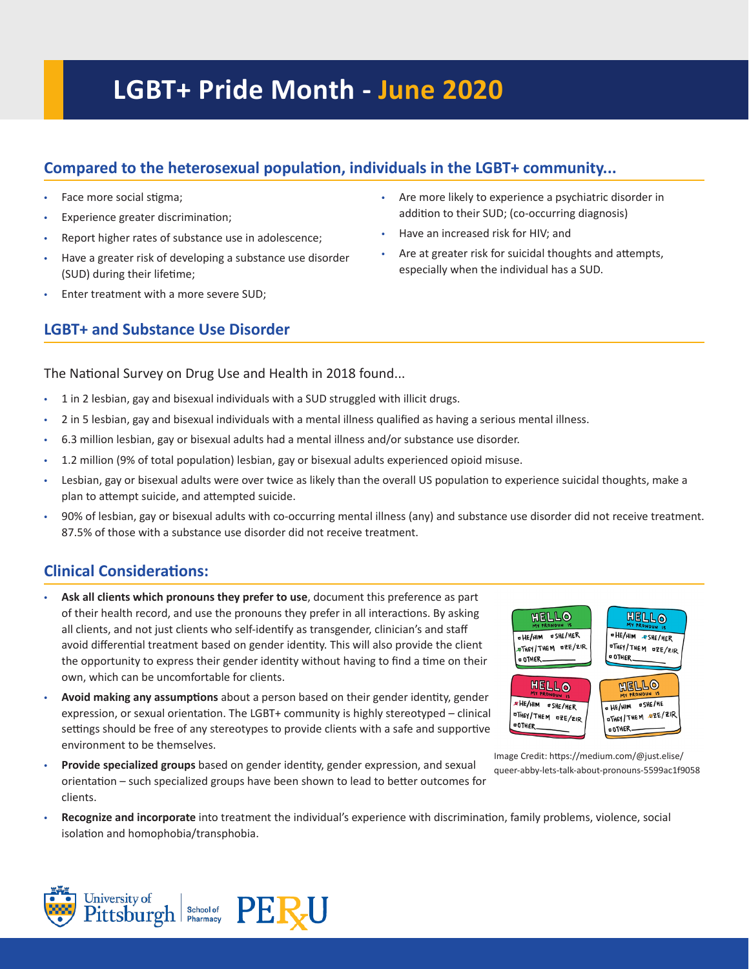# **LGBT+ Pride Month - June 2020**

# **Compared to the heterosexual population, individuals in the LGBT+ community...**

- Face more social stigma;
- Experience greater discrimination;
- Report higher rates of substance use in adolescence;
- Have a greater risk of developing a substance use disorder (SUD) during their lifetime;
- Enter treatment with a more severe SUD;

# **LGBT+ and Substance Use Disorder**

- Are more likely to experience a psychiatric disorder in addition to their SUD; (co-occurring diagnosis)
- Have an increased risk for HIV; and
- Are at greater risk for suicidal thoughts and attempts, especially when the individual has a SUD.

The National Survey on Drug Use and Health in 2018 found...

- 1 in 2 lesbian, gay and bisexual individuals with a SUD struggled with illicit drugs.
- 2 in 5 lesbian, gay and bisexual individuals with a mental illness qualified as having a serious mental illness.
- 6.3 million lesbian, gay or bisexual adults had a mental illness and/or substance use disorder.
- 1.2 million (9% of total population) lesbian, gay or bisexual adults experienced opioid misuse.
- Lesbian, gay or bisexual adults were over twice as likely than the overall US population to experience suicidal thoughts, make a plan to attempt suicide, and attempted suicide.
- 90% of lesbian, gay or bisexual adults with co-occurring mental illness (any) and substance use disorder did not receive treatment. 87.5% of those with a substance use disorder did not receive treatment.

# **Clinical Considerations:**

- **Ask all clients which pronouns they prefer to use**, document this preference as part of their health record, and use the pronouns they prefer in all interactions. By asking all clients, and not just clients who self-identify as transgender, clinician's and staff avoid differential treatment based on gender identity. This will also provide the client the opportunity to express their gender identity without having to find a time on their own, which can be uncomfortable for clients.
- **Avoid making any assumptions** about a person based on their gender identity, gender expression, or sexual orientation. The LGBT+ community is highly stereotyped – clinical settings should be free of any stereotypes to provide clients with a safe and supportive environment to be themselves.
- **Provide specialized groups** based on gender identity, gender expression, and sexual orientation – such specialized groups have been shown to lead to better outcomes for clients.



Image Credit: https://medium.com/@just.elise/ queer-abby-lets-talk-about-pronouns-5599ac1f9058

• **Recognize and incorporate** into treatment the individual's experience with discrimination, family problems, violence, social isolation and homophobia/transphobia.